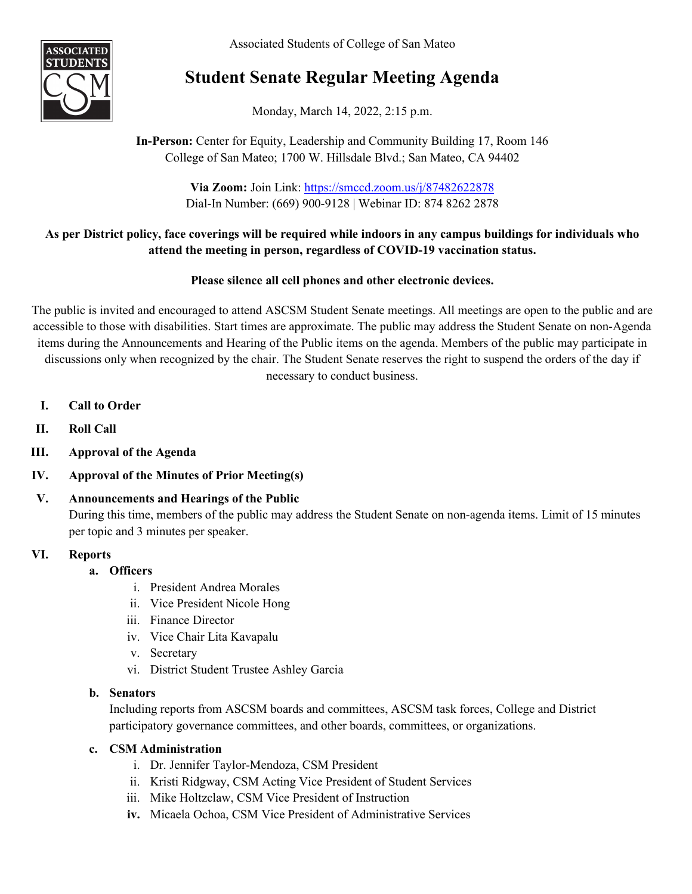Associated Students of College of San Mateo



# **Student Senate Regular Meeting Agenda**

Monday, March 14, 2022, 2:15 p.m.

# **In-Person:** Center for Equity, Leadership and Community Building 17, Room 146 College of San Mateo; 1700 W. Hillsdale Blvd.; San Mateo, CA 94402

**Via Zoom:** Join Link: <https://smccd.zoom.us/j/87482622878> Dial-In Number: (669) 900-9128 | Webinar ID: 874 8262 2878

# **As per District policy, face coverings will be required while indoors in any campus buildings for individuals who attend the meeting in person, regardless of COVID-19 vaccination status.**

# **Please silence all cell phones and other electronic devices.**

The public is invited and encouraged to attend ASCSM Student Senate meetings. All meetings are open to the public and are accessible to those with disabilities. Start times are approximate. The public may address the Student Senate on non-Agenda items during the Announcements and Hearing of the Public items on the agenda. Members of the public may participate in discussions only when recognized by the chair. The Student Senate reserves the right to suspend the orders of the day if necessary to conduct business.

- **I. Call to Order**
- **II. Roll Call**
- **III. Approval of the Agenda**
- **IV. Approval of the Minutes of Prior Meeting(s)**

# **V. Announcements and Hearings of the Public** During this time, members of the public may address the Student Senate on non-agenda items. Limit of 15 minutes per topic and 3 minutes per speaker.

# **VI. Reports**

# **a. Officers**

- i. President Andrea Morales
- ii. Vice President Nicole Hong
- iii. Finance Director
- iv. Vice Chair Lita Kavapalu
- v. Secretary
- vi. District Student Trustee Ashley Garcia

# **b. Senators**

Including reports from ASCSM boards and committees, ASCSM task forces, College and District participatory governance committees, and other boards, committees, or organizations.

# **c. CSM Administration**

- i. Dr. Jennifer Taylor-Mendoza, CSM President
- ii. Kristi Ridgway, CSM Acting Vice President of Student Services
- iii. Mike Holtzclaw, CSM Vice President of Instruction
- **iv.** Micaela Ochoa, CSM Vice President of Administrative Services